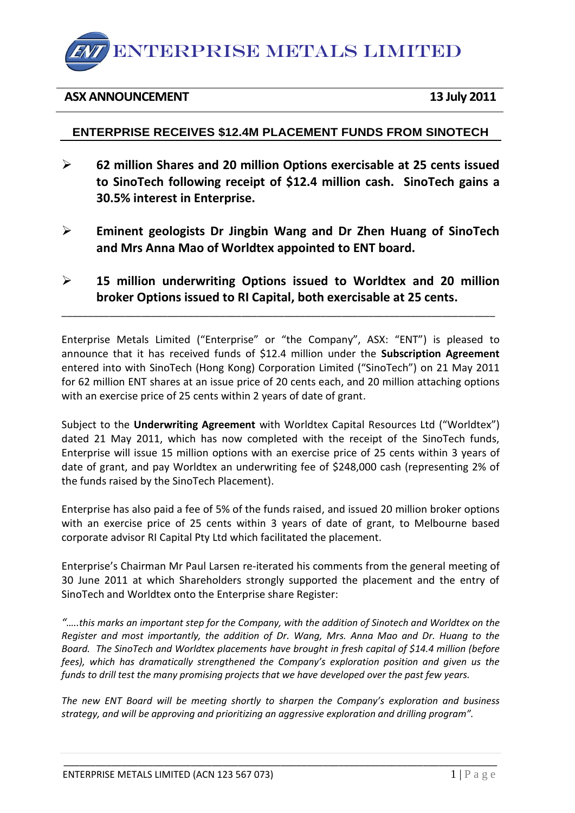## ENTERPRISE METALS LIMITED

### **ASX ANNOUNCEMENT 13 July 2011**

### **ENTERPRISE RECEIVES \$12.4M PLACEMENT FUNDS FROM SINOTECH**

- **62 million Shares and 20 million Options exercisable at 25 cents issued to SinoTech following receipt of \$12.4 million cash. SinoTech gains a 30.5% interest in Enterprise.**
- **Eminent geologists Dr Jingbin Wang and Dr Zhen Huang of SinoTech and Mrs Anna Mao of Worldtex appointed to ENT board.**
- **15 million underwriting Options issued to Worldtex and 20 million broker Options issued to RI Capital, both exercisable at 25 cents.**

\_\_\_\_\_\_\_\_\_\_\_\_\_\_\_\_\_\_\_\_\_\_\_\_\_\_\_\_\_\_\_\_\_\_\_\_\_\_\_\_\_\_\_\_\_\_\_\_\_\_\_\_\_\_\_\_\_\_\_\_\_\_\_\_\_\_\_\_\_\_\_\_\_\_\_\_\_\_\_\_\_\_

Enterprise Metals Limited ("Enterprise" or "the Company", ASX: "ENT") is pleased to announce that it has received funds of \$12.4 million under the **Subscription Agreement** entered into with SinoTech (Hong Kong) Corporation Limited ("SinoTech") on 21 May 2011 for 62 million ENT shares at an issue price of 20 cents each, and 20 million attaching options with an exercise price of 25 cents within 2 years of date of grant.

Subject to the **Underwriting Agreement** with Worldtex Capital Resources Ltd ("Worldtex") dated 21 May 2011, which has now completed with the receipt of the SinoTech funds, Enterprise will issue 15 million options with an exercise price of 25 cents within 3 years of date of grant, and pay Worldtex an underwriting fee of \$248,000 cash (representing 2% of the funds raised by the SinoTech Placement).

Enterprise has also paid a fee of 5% of the funds raised, and issued 20 million broker options with an exercise price of 25 cents within 3 years of date of grant, to Melbourne based corporate advisor RI Capital Pty Ltd which facilitated the placement.

Enterprise's Chairman Mr Paul Larsen re-iterated his comments from the general meeting of 30 June 2011 at which Shareholders strongly supported the placement and the entry of SinoTech and Worldtex onto the Enterprise share Register:

*"…..this marks an important step for the Company, with the addition of Sinotech and Worldtex on the Register and most importantly, the addition of Dr. Wang, Mrs. Anna Mao and Dr. Huang to the Board. The SinoTech and Worldtex placements have brought in fresh capital of \$14.4 million (before fees), which has dramatically strengthened the Company's exploration position and given us the funds to drill test the many promising projects that we have developed over the past few years.*

*The new ENT Board will be meeting shortly to sharpen the Company's exploration and business strategy, and will be approving and prioritizing an aggressive exploration and drilling program".*

\_\_\_\_\_\_\_\_\_\_\_\_\_\_\_\_\_\_\_\_\_\_\_\_\_\_\_\_\_\_\_\_\_\_\_\_\_\_\_\_\_\_\_\_\_\_\_\_\_\_\_\_\_\_\_\_\_\_\_\_\_\_\_\_\_\_\_\_\_\_\_\_\_\_\_\_\_\_\_\_\_\_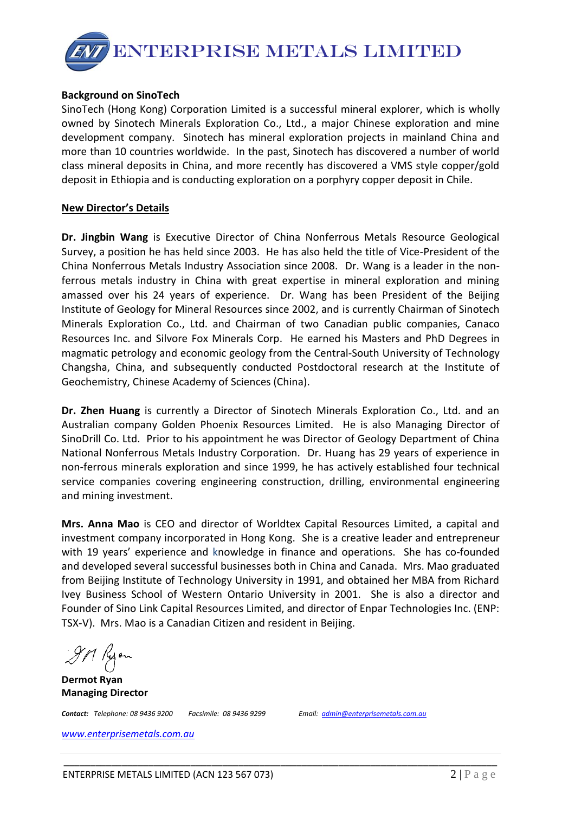

### **Background on SinoTech**

SinoTech (Hong Kong) Corporation Limited is a successful mineral explorer, which is wholly owned by Sinotech Minerals Exploration Co., Ltd., a major Chinese exploration and mine development company. Sinotech has mineral exploration projects in mainland China and more than 10 countries worldwide. In the past, Sinotech has discovered a number of world class mineral deposits in China, and more recently has discovered a VMS style copper/gold deposit in Ethiopia and is conducting exploration on a porphyry copper deposit in Chile.

### **New Director's Details**

**Dr. Jingbin Wang** is Executive Director of China Nonferrous Metals Resource Geological Survey, a position he has held since 2003. He has also held the title of Vice-President of the China Nonferrous Metals Industry Association since 2008. Dr. Wang is a leader in the nonferrous metals industry in China with great expertise in mineral exploration and mining amassed over his 24 years of experience. Dr. Wang has been President of the Beijing Institute of Geology for Mineral Resources since 2002, and is currently Chairman of Sinotech Minerals Exploration Co., Ltd. and Chairman of two Canadian public companies, Canaco Resources Inc. and Silvore Fox Minerals Corp. He earned his Masters and PhD Degrees in magmatic petrology and economic geology from the Central-South University of Technology Changsha, China, and subsequently conducted Postdoctoral research at the Institute of Geochemistry, Chinese Academy of Sciences (China).

**Dr. Zhen Huang** is currently a Director of Sinotech Minerals Exploration Co., Ltd. and an Australian company Golden Phoenix Resources Limited. He is also Managing Director of SinoDrill Co. Ltd. Prior to his appointment he was Director of Geology Department of China National Nonferrous Metals Industry Corporation. Dr. Huang has 29 years of experience in non-ferrous minerals exploration and since 1999, he has actively established four technical service companies covering engineering construction, drilling, environmental engineering and mining investment.

**Mrs. Anna Mao** is CEO and director of Worldtex Capital Resources Limited, a capital and investment company incorporated in Hong Kong. She is a creative leader and entrepreneur with 19 years' experience and knowledge in finance and operations. She has co-founded and developed several successful businesses both in China and Canada. Mrs. Mao graduated from Beijing Institute of Technology University in 1991, and obtained her MBA from Richard Ivey Business School of Western Ontario University in 2001. She is also a director and Founder of Sino Link Capital Resources Limited, and director of Enpar Technologies Inc. (ENP: TSX-V). Mrs. Mao is a Canadian Citizen and resident in Beijing.

\_\_\_\_\_\_\_\_\_\_\_\_\_\_\_\_\_\_\_\_\_\_\_\_\_\_\_\_\_\_\_\_\_\_\_\_\_\_\_\_\_\_\_\_\_\_\_\_\_\_\_\_\_\_\_\_\_\_\_\_\_\_\_\_\_\_\_\_\_\_\_\_\_\_\_\_\_\_\_\_\_\_

gn Ryon

**Dermot Ryan Managing Director**

*Contact: Telephone: 08 9436 9200 Facsimile: 08 9436 9299 Email: [admin@enterprisemetals.com.au](mailto:admin@enterprisemetals.com.au)*

*[www.enterprisemetals.com.au](http://www.enterprisemetals.com.au/)*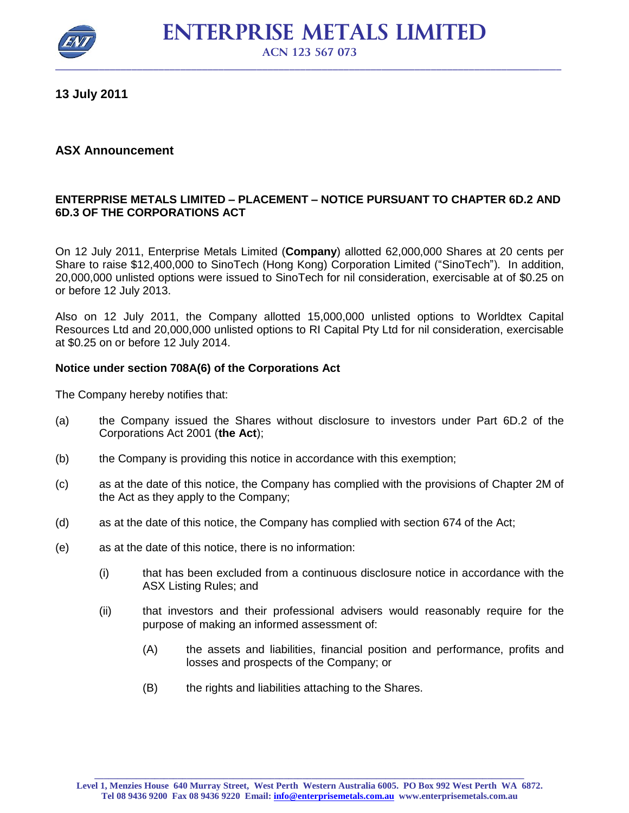

 **ENTERPRISE METALS LIMITED**

**ACN 123 567 073**

**13 July 2011**

### **ASX Announcement**

### **ENTERPRISE METALS LIMITED – PLACEMENT – NOTICE PURSUANT TO CHAPTER 6D.2 AND 6D.3 OF THE CORPORATIONS ACT**

On 12 July 2011, Enterprise Metals Limited (**Company**) allotted 62,000,000 Shares at 20 cents per Share to raise \$12,400,000 to SinoTech (Hong Kong) Corporation Limited ("SinoTech"). In addition, 20,000,000 unlisted options were issued to SinoTech for nil consideration, exercisable at of \$0.25 on or before 12 July 2013.

Also on 12 July 2011, the Company allotted 15,000,000 unlisted options to Worldtex Capital Resources Ltd and 20,000,000 unlisted options to RI Capital Pty Ltd for nil consideration, exercisable at \$0.25 on or before 12 July 2014.

### **Notice under section 708A(6) of the Corporations Act**

The Company hereby notifies that:

- (a) the Company issued the Shares without disclosure to investors under Part 6D.2 of the Corporations Act 2001 (**the Act**);
- (b) the Company is providing this notice in accordance with this exemption;
- (c) as at the date of this notice, the Company has complied with the provisions of Chapter 2M of the Act as they apply to the Company;
- (d) as at the date of this notice, the Company has complied with section 674 of the Act;
- (e) as at the date of this notice, there is no information:
	- (i) that has been excluded from a continuous disclosure notice in accordance with the ASX Listing Rules; and
	- (ii) that investors and their professional advisers would reasonably require for the purpose of making an informed assessment of:
		- (A) the assets and liabilities, financial position and performance, profits and losses and prospects of the Company; or
		- (B) the rights and liabilities attaching to the Shares.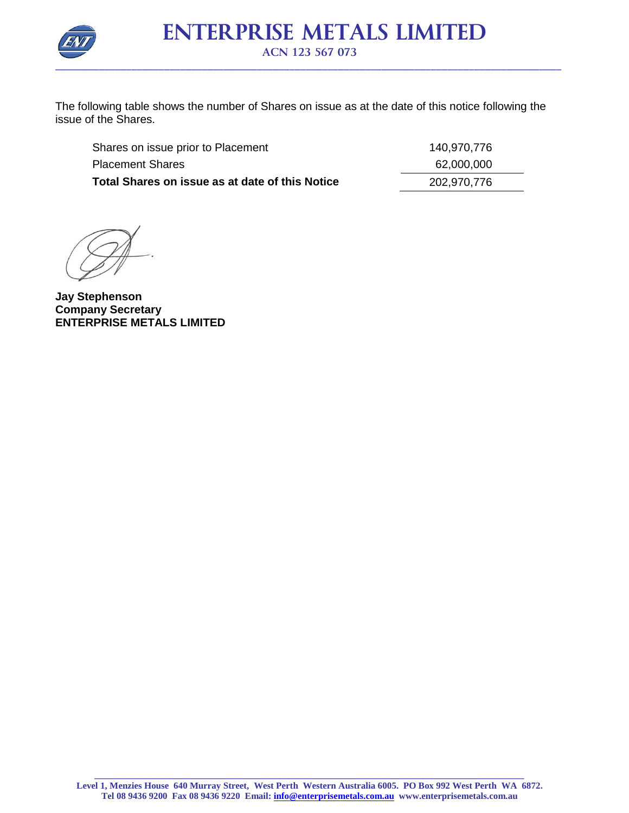

The following table shows the number of Shares on issue as at the date of this notice following the issue of the Shares.

| Shares on issue prior to Placement              | 140,970,776 |
|-------------------------------------------------|-------------|
| <b>Placement Shares</b>                         | 62,000,000  |
| Total Shares on issue as at date of this Notice | 202,970,776 |

**Jay Stephenson Company Secretary ENTERPRISE METALS LIMITED**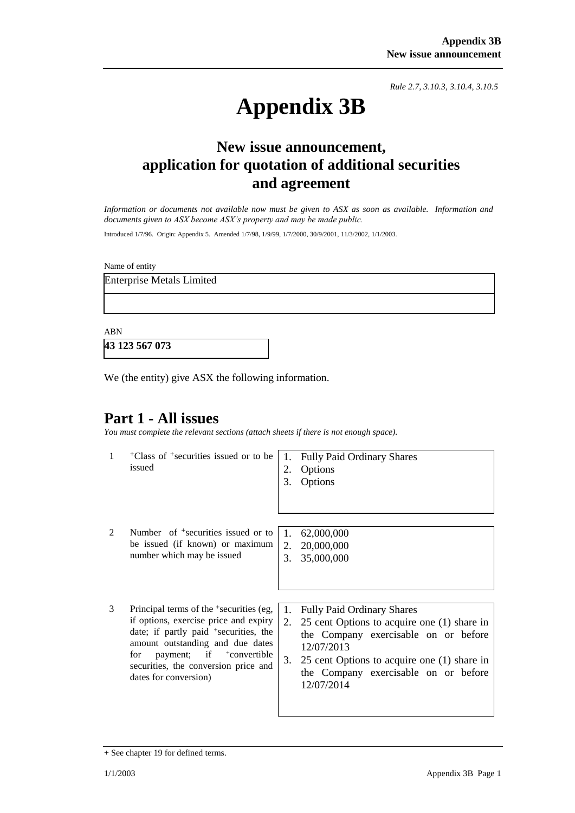*Rule 2.7, 3.10.3, 3.10.4, 3.10.5*

# **Appendix 3B**

### **New issue announcement, application for quotation of additional securities and agreement**

*Information or documents not available now must be given to ASX as soon as available. Information and documents given to ASX become ASX's property and may be made public.*

Introduced 1/7/96. Origin: Appendix 5. Amended 1/7/98, 1/9/99, 1/7/2000, 30/9/2001, 11/3/2002, 1/1/2003.

Name of entity

Enterprise Metals Limited

ABN

**43 123 567 073**

We (the entity) give ASX the following information.

### **Part 1 - All issues**

*You must complete the relevant sections (attach sheets if there is not enough space).*

- 1 +Class of +securities issued or to be issued 1. Fully Paid Ordinary Shares 2. Options 3. Options 2 Number of <sup>+</sup>securities issued or to be issued (if known) or maximum number which may be issued 1. 62,000,000 2. 20,000,000 3. 35,000,000 3 Principal terms of the <sup>+</sup> securities (eg, if options, exercise price and expiry date; if partly paid <sup>+</sup>securities, the amount outstanding and due dates for payment; if  $\pm$ convertible 1. Fully Paid Ordinary Shares 2. 25 cent Options to acquire one (1) share in the Company exercisable on or before 12/07/2013
	- 3. 25 cent Options to acquire one (1) share in the Company exercisable on or before 12/07/2014

dates for conversion)

securities, the conversion price and

<sup>+</sup> See chapter 19 for defined terms.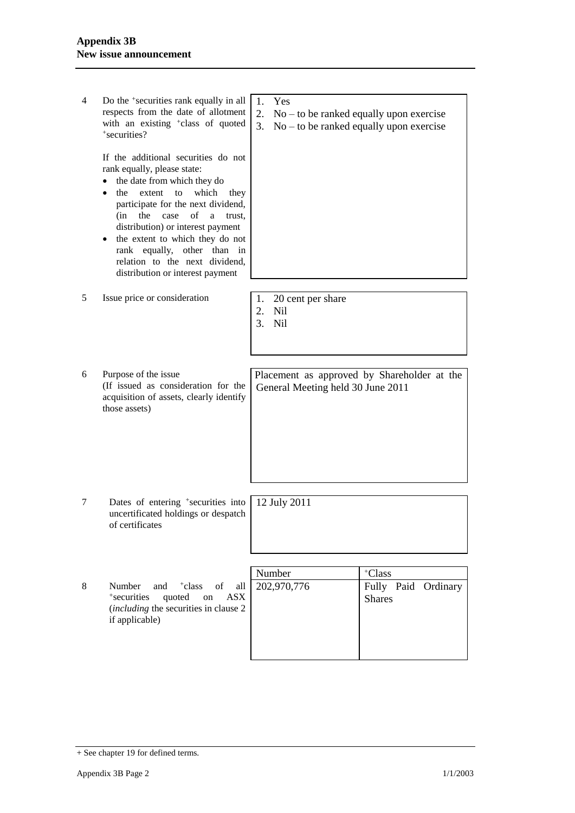| 4 | Do the <sup>+</sup> securities rank equally in all<br>respects from the date of allotment<br>with an existing <sup>+</sup> class of quoted<br>+securities?                                                                                                                                                                                                                                                      | Yes<br>1.<br>2.<br>$No - to be ranked equally upon exercise$<br>3.<br>$No - to be ranked equally upon exercise$ |
|---|-----------------------------------------------------------------------------------------------------------------------------------------------------------------------------------------------------------------------------------------------------------------------------------------------------------------------------------------------------------------------------------------------------------------|-----------------------------------------------------------------------------------------------------------------|
|   | If the additional securities do not<br>rank equally, please state:<br>the date from which they do<br>which<br>the<br>extent<br>to<br>they<br>participate for the next dividend,<br>of<br>(in<br>the<br>case<br>a<br>trust.<br>distribution) or interest payment<br>the extent to which they do not<br>٠<br>rank equally, other than<br>in<br>relation to the next dividend,<br>distribution or interest payment |                                                                                                                 |
| 5 | Issue price or consideration                                                                                                                                                                                                                                                                                                                                                                                    | 20 cent per share<br>1.<br>2.<br>Nil<br>3.<br>Nil                                                               |
| 6 | Purpose of the issue<br>(If issued as consideration for the<br>acquisition of assets, clearly identify<br>those assets)                                                                                                                                                                                                                                                                                         | Placement as approved by Shareholder at the<br>General Meeting held 30 June 2011                                |
| 7 | Dates of entering <sup>+</sup> securities into<br>uncertificated holdings or despatch<br>of certificates                                                                                                                                                                                                                                                                                                        | 12 July 2011                                                                                                    |
|   |                                                                                                                                                                                                                                                                                                                                                                                                                 | Number<br><sup>+</sup> Class                                                                                    |
| 8 | Number<br><sup>+</sup> class<br>of<br>and<br>all<br><b>ASX</b><br>+securities<br>quoted<br>on<br>(including the securities in clause 2<br>if applicable)                                                                                                                                                                                                                                                        | 202,970,776<br>Fully Paid<br>Ordinary<br><b>Shares</b>                                                          |
|   |                                                                                                                                                                                                                                                                                                                                                                                                                 |                                                                                                                 |

<sup>+</sup> See chapter 19 for defined terms.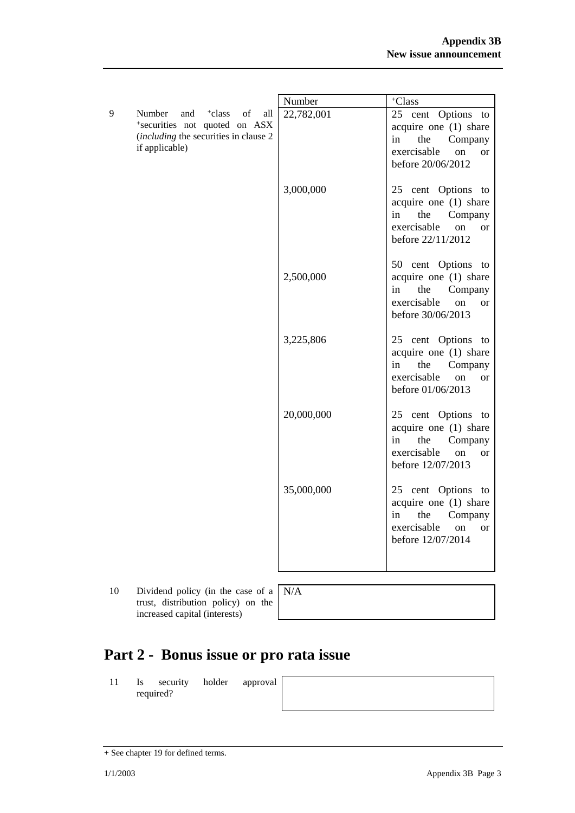|                                                                                                                                                   | Number     | +Class                                                                                                                                       |
|---------------------------------------------------------------------------------------------------------------------------------------------------|------------|----------------------------------------------------------------------------------------------------------------------------------------------|
| 9<br>Number<br>and<br><sup>+</sup> class<br>of<br>all<br>*securities not quoted on ASX<br>(including the securities in clause 2<br>if applicable) | 22,782,001 | 25 cent Options to<br>acquire one (1) share<br>the<br>Company<br>in<br>exercisable<br><sub>on</sub><br><sub>or</sub><br>before 20/06/2012    |
|                                                                                                                                                   | 3,000,000  | 25 cent Options to<br>acquire one (1) share<br>the<br>Company<br>in<br>exercisable<br><sub>on</sub><br><b>or</b><br>before 22/11/2012        |
|                                                                                                                                                   | 2,500,000  | 50 cent Options<br>to<br>acquire one (1) share<br>Company<br>in<br>the<br>exercisable<br><sub>on</sub><br><sub>or</sub><br>before 30/06/2013 |
|                                                                                                                                                   | 3,225,806  | 25 cent Options<br>to<br>acquire one (1) share<br>Company<br>the<br>in<br>exercisable<br><sub>on</sub><br><sub>or</sub><br>before 01/06/2013 |
|                                                                                                                                                   | 20,000,000 | 25 cent Options<br>to<br>acquire one (1) share<br>the<br>Company<br>in<br>exercisable<br><sub>on</sub><br><sub>or</sub><br>before 12/07/2013 |
|                                                                                                                                                   | 35,000,000 | 25 cent Options<br>to<br>acquire one (1) share<br>the<br>Company<br>in<br>exercisable<br>on<br><b>or</b><br>before 12/07/2014                |

10 Dividend policy (in the case of a trust, distribution policy) on the increased capital (interests)

N/A

### **Part 2 - Bonus issue or pro rata issue**

11 Is security holder approval required?

<sup>+</sup> See chapter 19 for defined terms.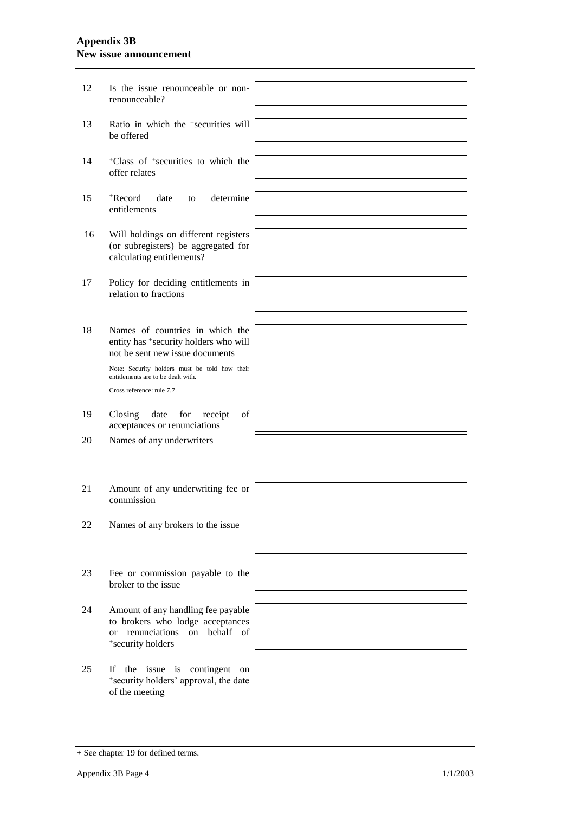### **Appendix 3B New issue announcement**

| 12 | Is the issue renounceable or non-<br>renounceable?                                                                                           |  |
|----|----------------------------------------------------------------------------------------------------------------------------------------------|--|
| 13 | Ratio in which the <sup>+</sup> securities will<br>be offered                                                                                |  |
| 14 | <sup>+</sup> Class of <sup>+</sup> securities to which the<br>offer relates                                                                  |  |
| 15 | <sup>+</sup> Record<br>date<br>determine<br>to<br>entitlements                                                                               |  |
| 16 | Will holdings on different registers<br>(or subregisters) be aggregated for<br>calculating entitlements?                                     |  |
| 17 | Policy for deciding entitlements in<br>relation to fractions                                                                                 |  |
| 18 | Names of countries in which the<br>entity has *security holders who will<br>not be sent new issue documents                                  |  |
|    | Note: Security holders must be told how their<br>entitlements are to be dealt with.<br>Cross reference: rule 7.7.                            |  |
|    |                                                                                                                                              |  |
| 19 | Closing<br>date<br>for<br>of<br>receipt<br>acceptances or renunciations                                                                      |  |
| 20 | Names of any underwriters                                                                                                                    |  |
|    |                                                                                                                                              |  |
| 21 | Amount of any underwriting fee or<br>commission                                                                                              |  |
| 22 | Names of any brokers to the issue                                                                                                            |  |
|    |                                                                                                                                              |  |
| 23 | Fee or commission payable to the<br>broker to the issue                                                                                      |  |
| 24 | Amount of any handling fee payable<br>to brokers who lodge acceptances<br>behalf of<br>renunciations<br>on<br><b>or</b><br>*security holders |  |
| 25 | the issue is contingent<br>If<br>on<br>*security holders' approval, the date<br>of the meeting                                               |  |

<sup>+</sup> See chapter 19 for defined terms.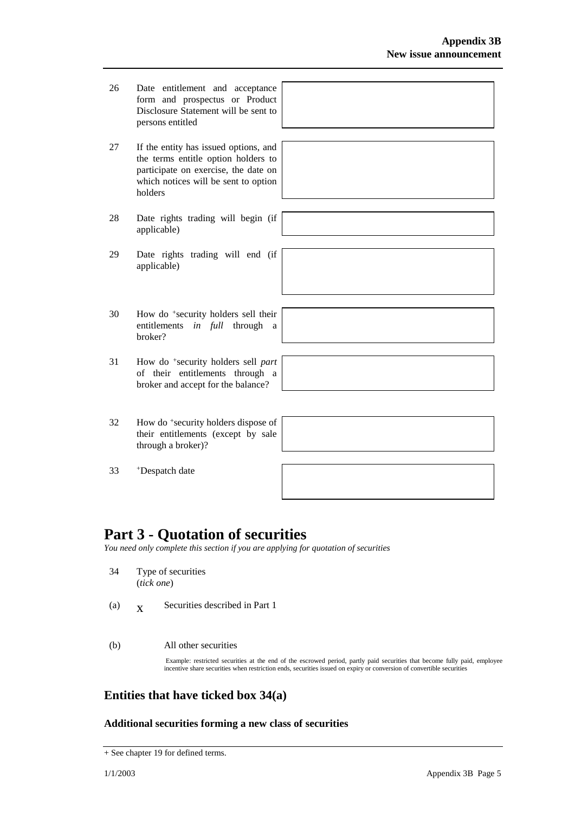- 26 Date entitlement and acceptance form and prospectus or Product Disclosure Statement will be sent to persons entitled
- 27 If the entity has issued options, and the terms entitle option holders to participate on exercise, the date on which notices will be sent to option holders
- 28 Date rights trading will begin (if applicable)
- 29 Date rights trading will end (if applicable)
- 30 How do <sup>+</sup> security holders sell their entitlements *in full* through a broker?
- 31 How do <sup>+</sup> security holders sell *part* of their entitlements through a broker and accept for the balance?
- 32 How do <sup>+</sup> security holders dispose of their entitlements (except by sale through a broker)?

33 <sup>+</sup>Despatch date



### **Part 3 - Quotation of securities**

*You need only complete this section if you are applying for quotation of securities*

- 34 Type of securities (*tick one*)
- (a)  $\mathbf{x}$ Securities described in Part 1
- (b) All other securities

Example: restricted securities at the end of the escrowed period, partly paid securities that become fully paid, employee incentive share securities when restriction ends, securities issued on expiry or conversion of convertible securities

### **Entities that have ticked box 34(a)**

#### **Additional securities forming a new class of securities**

<sup>+</sup> See chapter 19 for defined terms.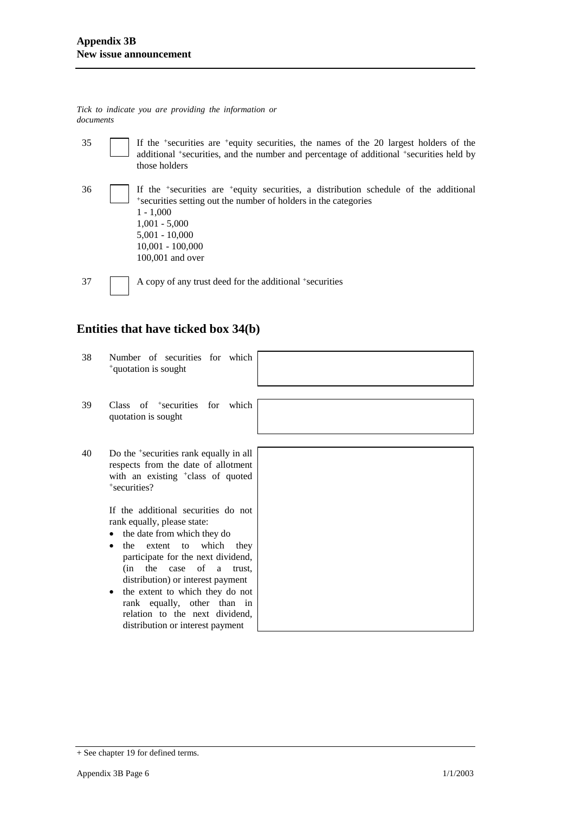*Tick to indicate you are providing the information or documents*

35 If the <sup>+</sup> securities are <sup>+</sup>equity securities, the names of the 20 largest holders of the additional <sup>+</sup>securities, and the number and percentage of additional <sup>+</sup>securities held by those holders

36 If the <sup>+</sup> securities are <sup>+</sup>equity securities, a distribution schedule of the additional + securities setting out the number of holders in the categories 1 - 1,000 1,001 - 5,000 5,001 - 10,000 10,001 - 100,000 100,001 and over

37 A copy of any trust deed for the additional +securities

### **Entities that have ticked box 34(b)**

38 Number of securities for which <sup>+</sup>quotation is sought 39 Class of <sup>+</sup> securities for which quotation is sought 40 Do the <sup>+</sup> securities rank equally in all respects from the date of allotment with an existing <sup>+</sup>class of quoted + securities? If the additional securities do not rank equally, please state: • the date from which they do • the extent to which they participate for the next dividend, (in the case of a trust, distribution) or interest payment • the extent to which they do not rank equally, other than in relation to the next dividend,

distribution or interest payment

<sup>+</sup> See chapter 19 for defined terms.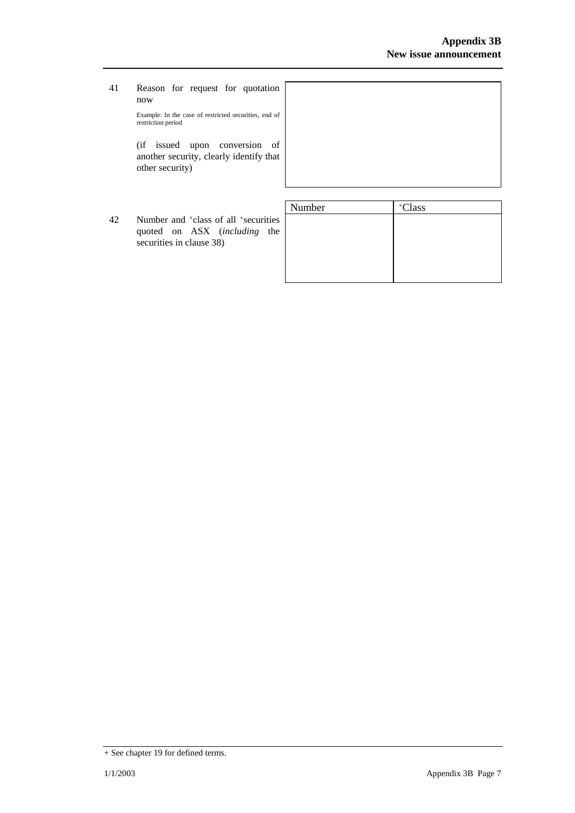41 Reason for request for quotation now Example: In the case of restricted securities, end of restriction period (if issued upon conversion of another security, clearly identify that other security) 42 Number and <sup>+</sup>class of all <sup>+</sup> securities

|                                                                                                                          | Number | <sup>+</sup> Class |
|--------------------------------------------------------------------------------------------------------------------------|--------|--------------------|
| Number and <sup>+</sup> class of all <sup>+</sup> securities<br>quoted on ASX (including the<br>securities in clause 38) |        |                    |
|                                                                                                                          |        |                    |

<sup>+</sup> See chapter 19 for defined terms.